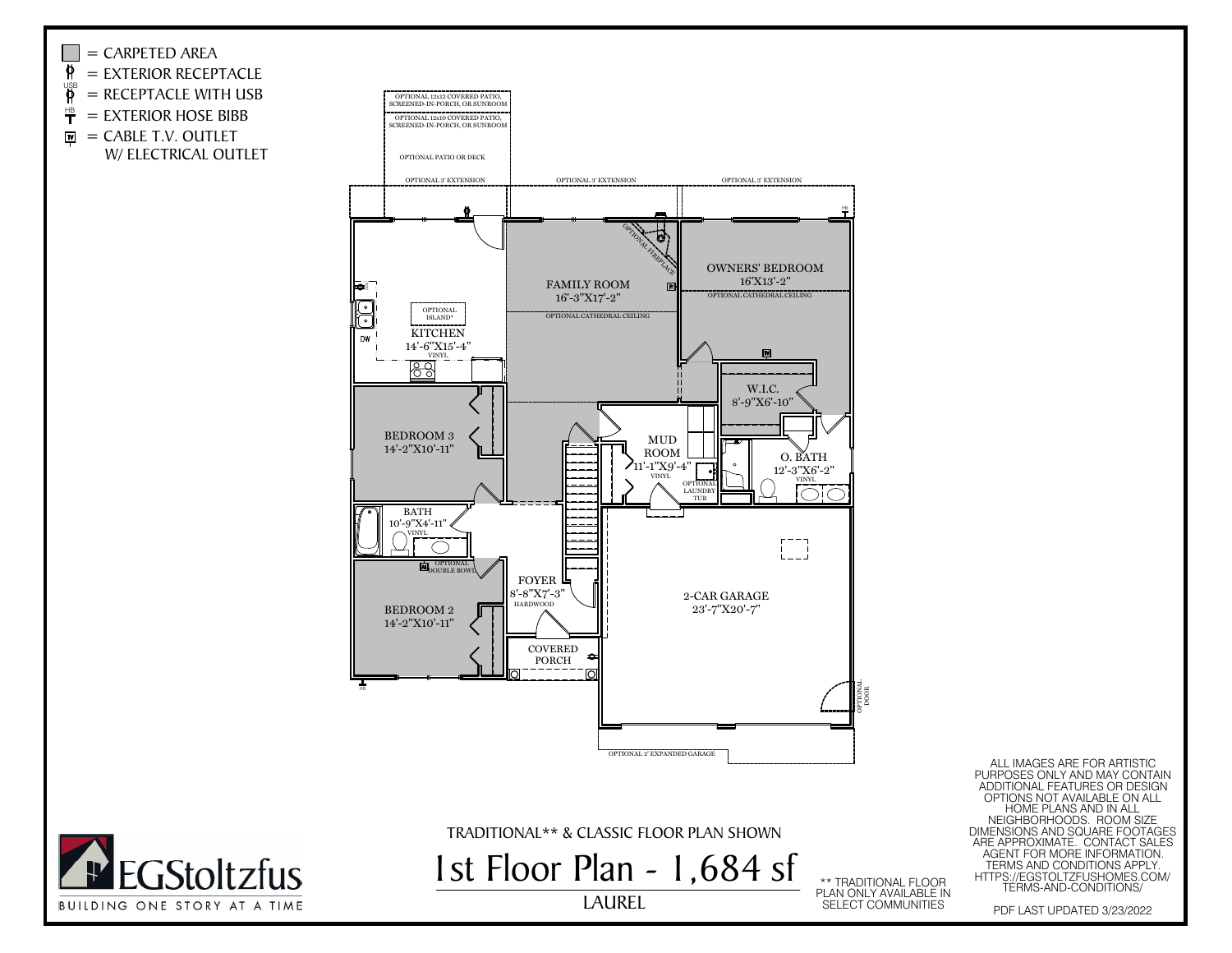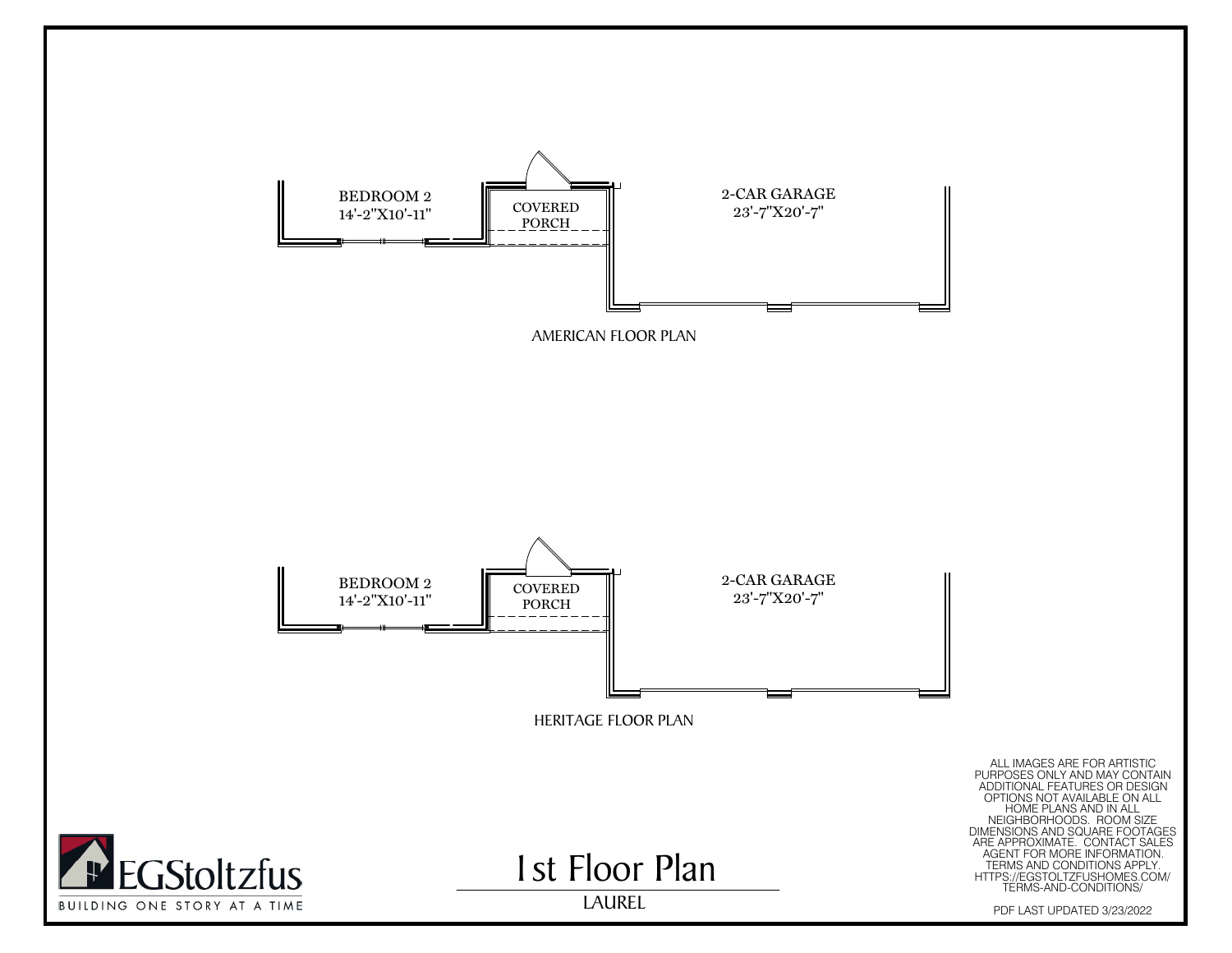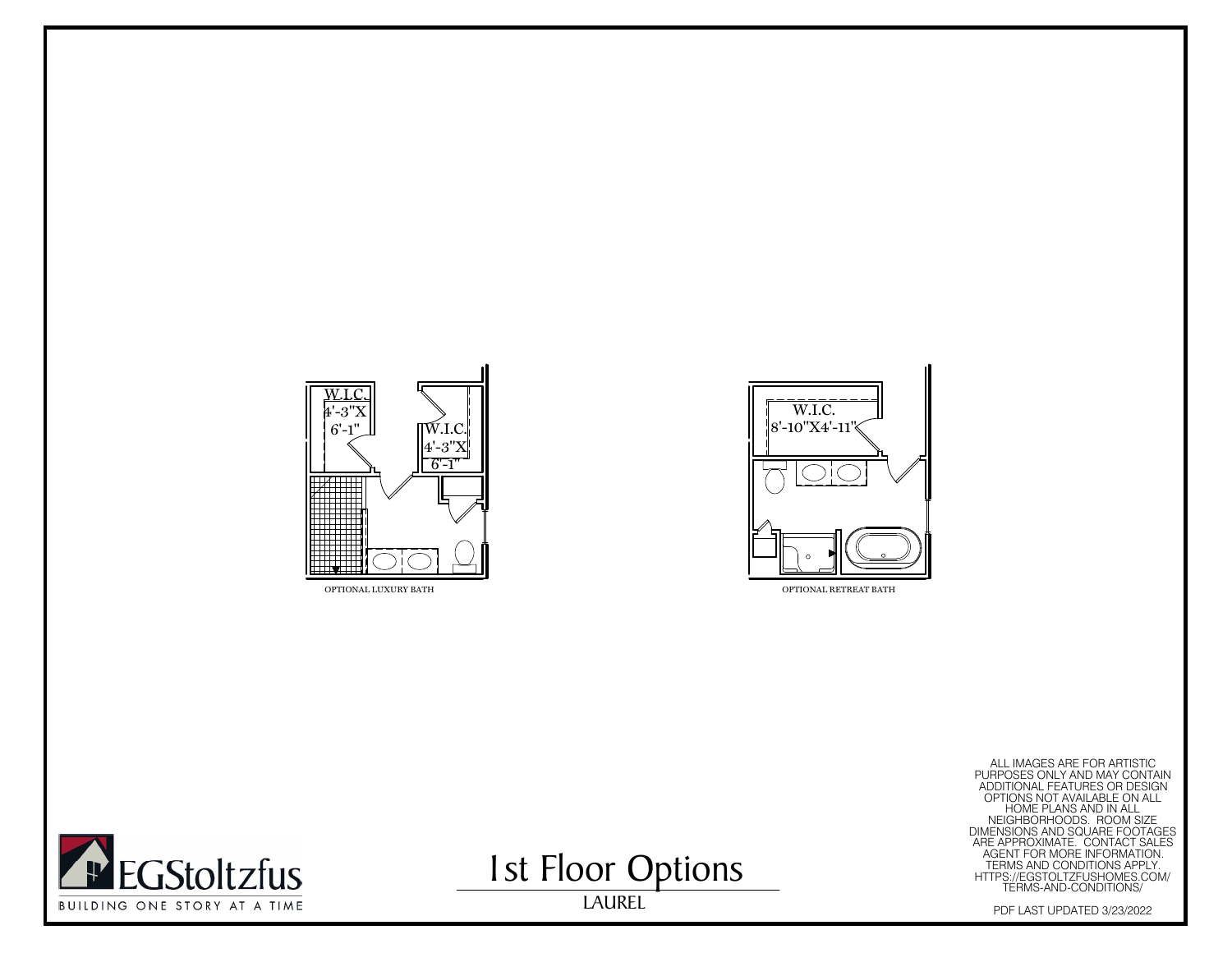



EXERCT FOR ARTISTIC<br>
MAGNITONAL FEATURES ONLY AND MAY CONTAIN<br>
ADDITIONAL FEATURES ON ALL<br>
MEGHBORHOODS. ROOM SIZE<br>
ON CONTAINS AND IN ALL<br>
MEGHBORHOODS. ROOM SIZE<br>
AGENT FOR MORE INFORMATION.<br>
ARE APPROXIMATE. CONTACT SAL

**1st Floor Options** 

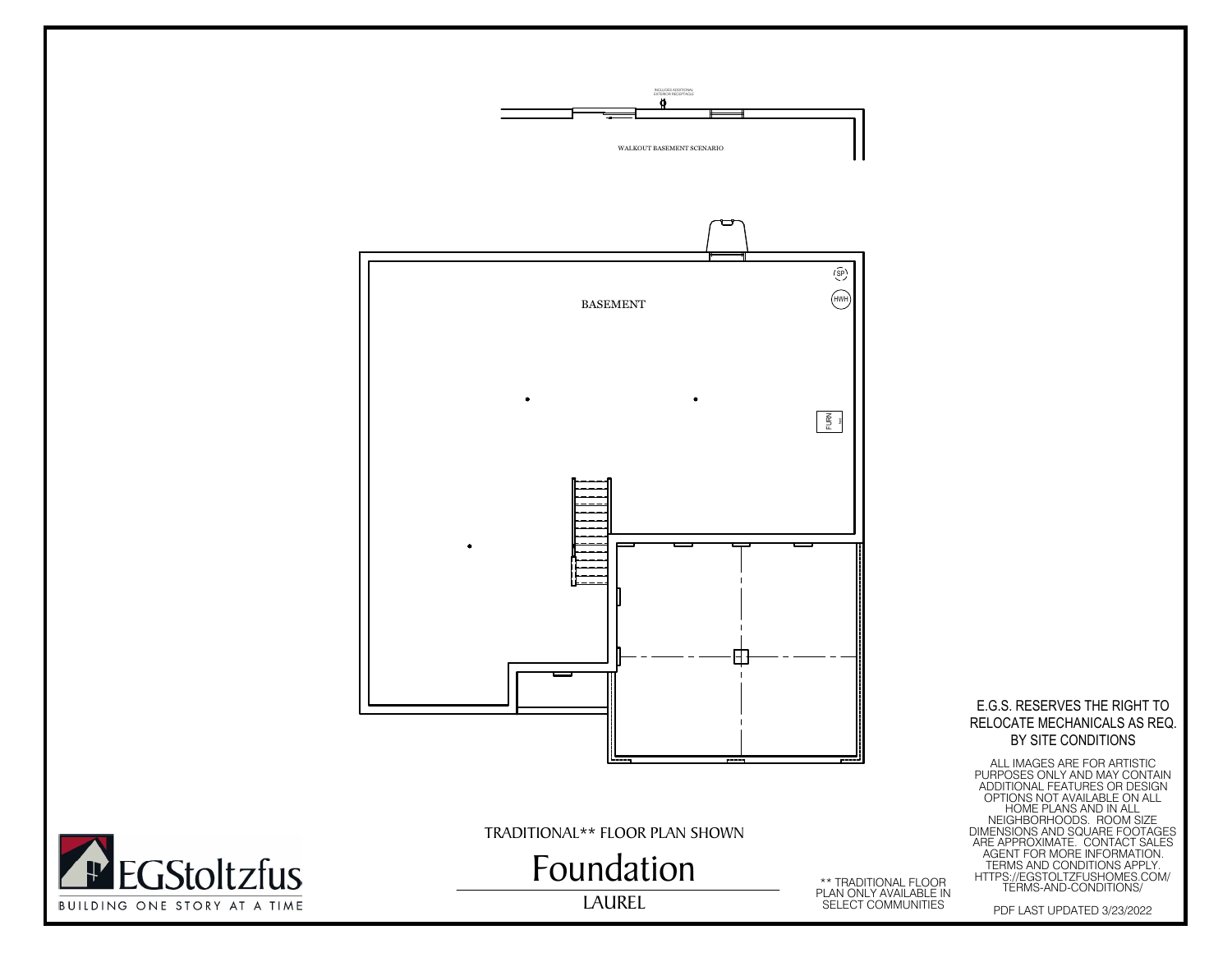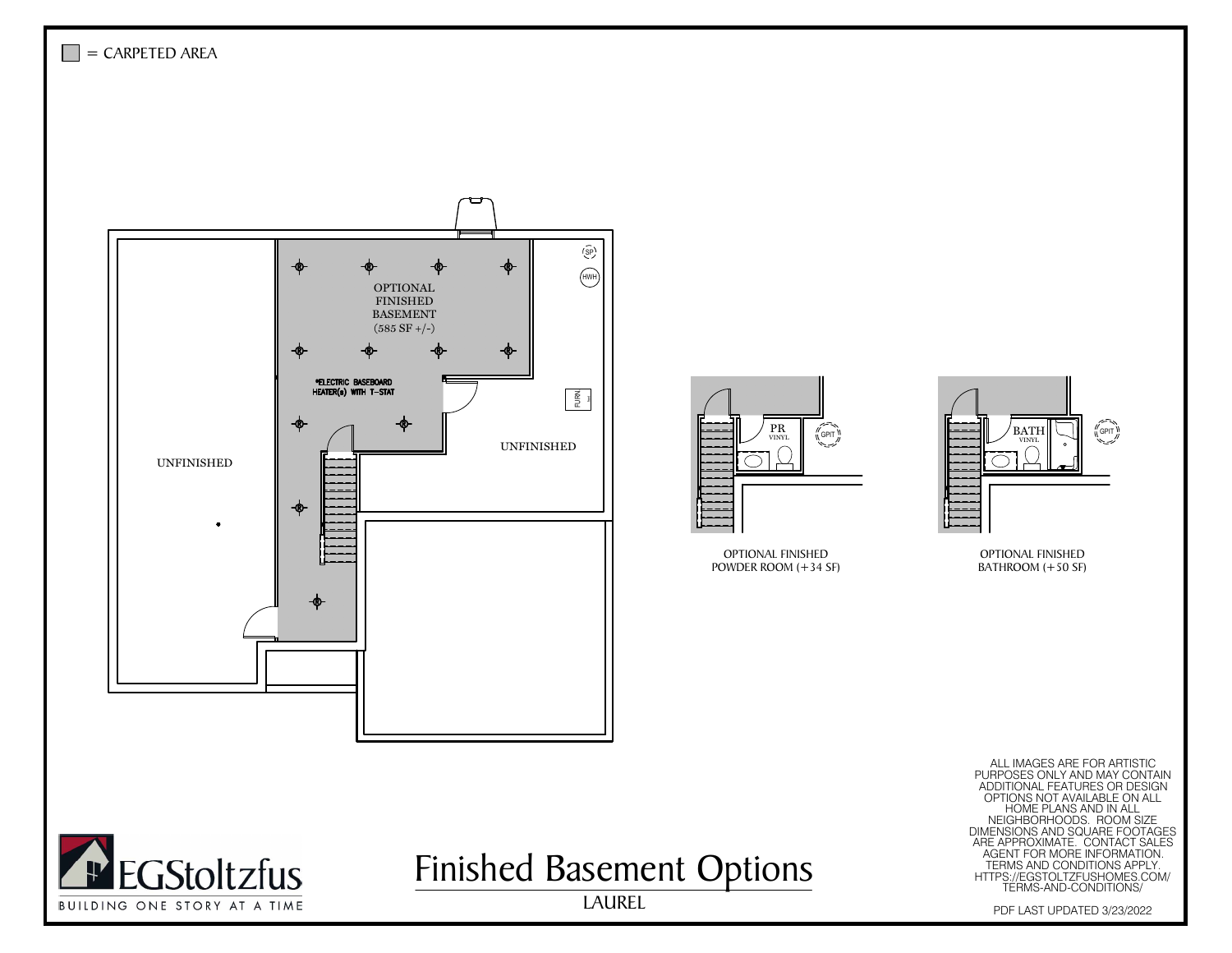





Finished Basement Options

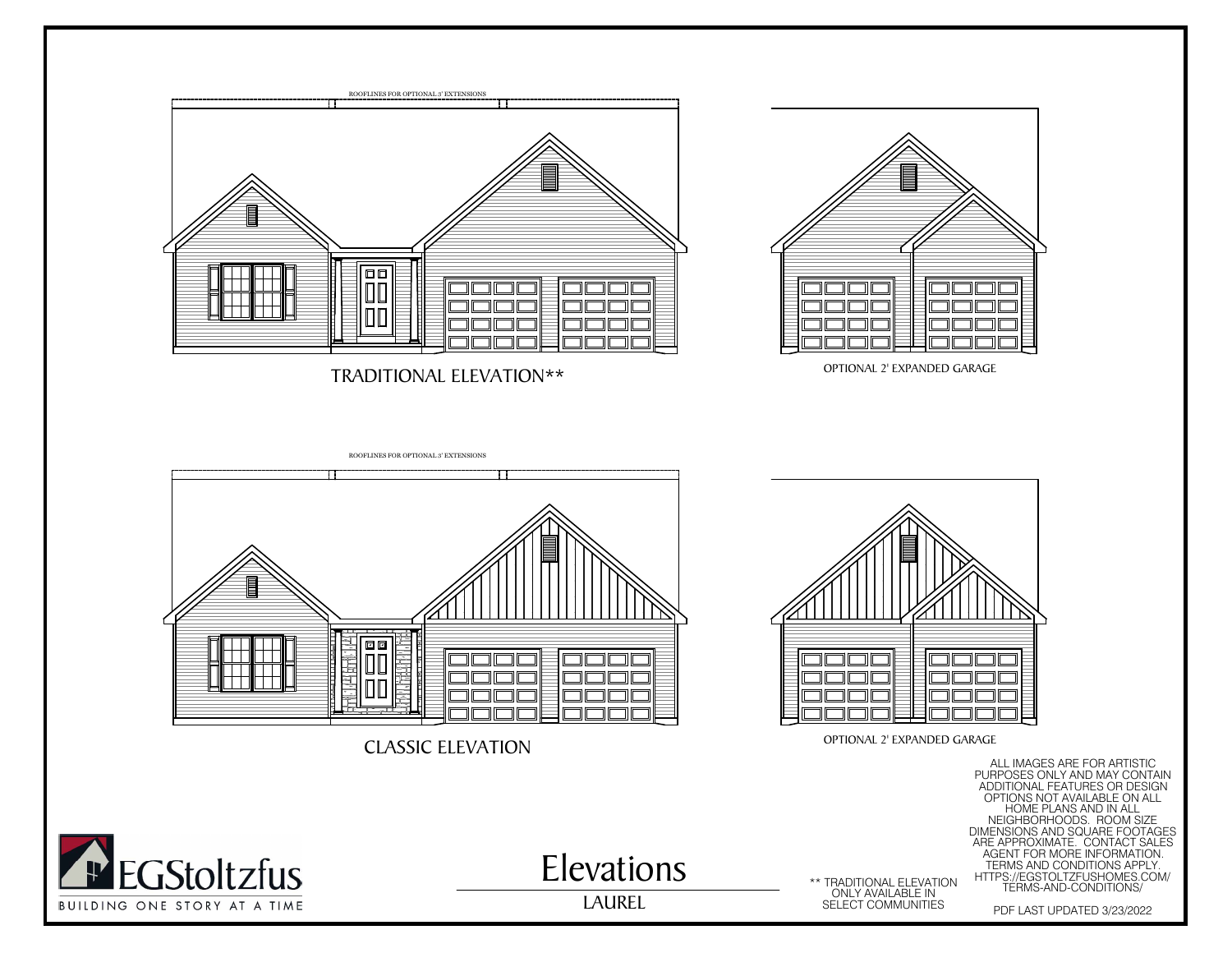